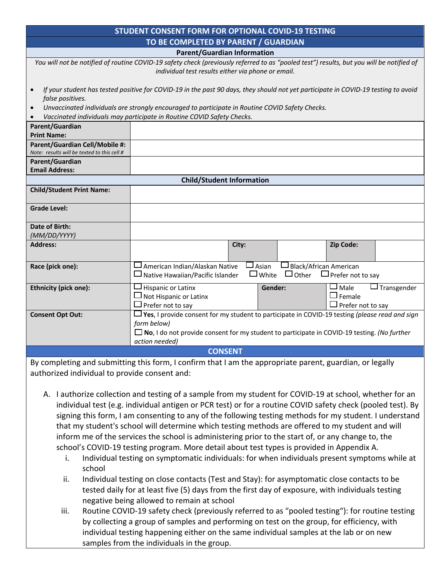| <b>STUDENT CONSENT FORM FOR OPTIONAL COVID-19 TESTING</b>                                                                                                                                      |                                                                                                                                                                                                                                              |  |  |
|------------------------------------------------------------------------------------------------------------------------------------------------------------------------------------------------|----------------------------------------------------------------------------------------------------------------------------------------------------------------------------------------------------------------------------------------------|--|--|
| TO BE COMPLETED BY PARENT / GUARDIAN                                                                                                                                                           |                                                                                                                                                                                                                                              |  |  |
| <b>Parent/Guardian Information</b>                                                                                                                                                             |                                                                                                                                                                                                                                              |  |  |
| You will not be notified of routine COVID-19 safety check (previously referred to as "pooled test") results, but you will be notified of<br>individual test results either via phone or email. |                                                                                                                                                                                                                                              |  |  |
| If your student has tested positive for COVID-19 in the past 90 days, they should not yet participate in COVID-19 testing to avoid<br>false positives.                                         |                                                                                                                                                                                                                                              |  |  |
| Unvaccinated individuals are strongly encouraged to participate in Routine COVID Safety Checks.                                                                                                |                                                                                                                                                                                                                                              |  |  |
| Vaccinated individuals may participate in Routine COVID Safety Checks.<br>$\bullet$                                                                                                            |                                                                                                                                                                                                                                              |  |  |
| Parent/Guardian<br><b>Print Name:</b>                                                                                                                                                          |                                                                                                                                                                                                                                              |  |  |
| Parent/Guardian Cell/Mobile #:<br>Note: results will be texted to this cell #                                                                                                                  |                                                                                                                                                                                                                                              |  |  |
| Parent/Guardian                                                                                                                                                                                |                                                                                                                                                                                                                                              |  |  |
| <b>Email Address:</b>                                                                                                                                                                          |                                                                                                                                                                                                                                              |  |  |
| <b>Child/Student Information</b>                                                                                                                                                               |                                                                                                                                                                                                                                              |  |  |
| <b>Child/Student Print Name:</b>                                                                                                                                                               |                                                                                                                                                                                                                                              |  |  |
| <b>Grade Level:</b>                                                                                                                                                                            |                                                                                                                                                                                                                                              |  |  |
| <b>Date of Birth:</b>                                                                                                                                                                          |                                                                                                                                                                                                                                              |  |  |
| (MM/DD/YYYY)                                                                                                                                                                                   |                                                                                                                                                                                                                                              |  |  |
| <b>Address:</b>                                                                                                                                                                                | Zip Code:<br>City:                                                                                                                                                                                                                           |  |  |
| Race (pick one):                                                                                                                                                                               | $\Box$ American Indian/Alaskan Native<br>$\square$ Black/African American<br>$\sqcup$ Asian<br>$\Box$ Other<br>$\square$ White<br>$\Box$ Prefer not to say<br>$\Box$ Native Hawaiian/Pacific Islander                                        |  |  |
| <b>Ethnicity (pick one):</b>                                                                                                                                                                   | $\Box$ Transgender<br>$\exists$ Hispanic or Latinx<br>$\square$ Male<br>Gender:<br>$\Box$ Female<br>$\Box$ Not Hispanic or Latinx<br>$\Box$ Prefer not to say<br>Prefer not to say                                                           |  |  |
| <b>Consent Opt Out:</b>                                                                                                                                                                        | $\Box$ Yes, I provide consent for my student to participate in COVID-19 testing (please read and sign<br>form below)<br>$\Box$ No, I do not provide consent for my student to participate in COVID-19 testing. (No further<br>action needed) |  |  |
| <b>CONSENT</b>                                                                                                                                                                                 |                                                                                                                                                                                                                                              |  |  |

By completing and submitting this form, I confirm that I am the appropriate parent, guardian, or legally authorized individual to provide consent and:

- A. I authorize collection and testing of a sample from my student for COVID-19 at school, whether for an individual test (e.g. individual antigen or PCR test) or for a routine COVID safety check (pooled test). By signing this form, I am consenting to any of the following testing methods for my student. I understand that my student's school will determine which testing methods are offered to my student and will inform me of the services the school is administering prior to the start of, or any change to, the school's COVID-19 testing program. More detail about test types is provided in Appendix A.
	- i. Individual testing on symptomatic individuals: for when individuals present symptoms while at school
	- ii. Individual testing on close contacts (Test and Stay): for asymptomatic close contacts to be tested daily for at least five (5) days from the first day of exposure, with individuals testing negative being allowed to remain at school
	- iii. Routine COVID-19 safety check (previously referred to as "pooled testing"): for routine testing by collecting a group of samples and performing on test on the group, for efficiency, with individual testing happening either on the same individual samples at the lab or on new samples from the individuals in the group.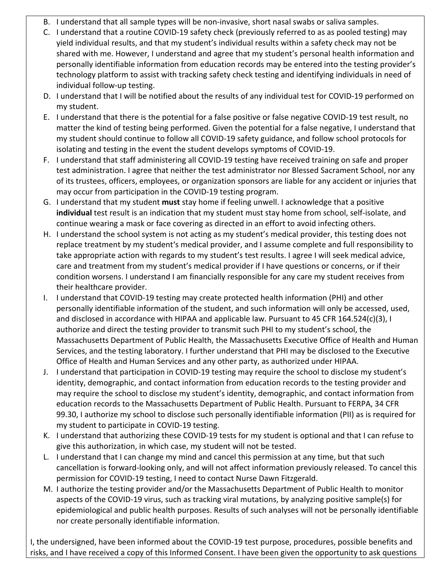- B. I understand that all sample types will be non-invasive, short nasal swabs or saliva samples.
- C. I understand that a routine COVID-19 safety check (previously referred to as as pooled testing) may yield individual results, and that my student's individual results within a safety check may not be shared with me. However, I understand and agree that my student's personal health information and personally identifiable information from education records may be entered into the testing provider's technology platform to assist with tracking safety check testing and identifying individuals in need of individual follow-up testing.
- D. I understand that I will be notified about the results of any individual test for COVID-19 performed on my student.
- E. I understand that there is the potential for a false positive or false negative COVID-19 test result, no matter the kind of testing being performed. Given the potential for a false negative, I understand that my student should continue to follow all COVID-19 safety guidance, and follow school protocols for isolating and testing in the event the student develops symptoms of COVID-19.
- F. I understand that staff administering all COVID-19 testing have received training on safe and proper test administration. I agree that neither the test administrator nor Blessed Sacrament School, nor any of its trustees, officers, employees, or organization sponsors are liable for any accident or injuries that may occur from participation in the COVID-19 testing program.
- G. I understand that my student **must** stay home if feeling unwell. I acknowledge that a positive **individual** test result is an indication that my student must stay home from school, self-isolate, and continue wearing a mask or face covering as directed in an effort to avoid infecting others.
- H. I understand the school system is not acting as my student's medical provider, this testing does not replace treatment by my student's medical provider, and I assume complete and full responsibility to take appropriate action with regards to my student's test results. I agree I will seek medical advice, care and treatment from my student's medical provider if I have questions or concerns, or if their condition worsens. I understand I am financially responsible for any care my student receives from their healthcare provider.
- I. I understand that COVID-19 testing may create protected health information (PHI) and other personally identifiable information of the student, and such information will only be accessed, used, and disclosed in accordance with HIPAA and applicable law. Pursuant to 45 CFR 164.524(c)(3), I authorize and direct the testing provider to transmit such PHI to my student's school, the Massachusetts Department of Public Health, the Massachusetts Executive Office of Health and Human Services, and the testing laboratory. I further understand that PHI may be disclosed to the Executive Office of Health and Human Services and any other party, as authorized under HIPAA.
- J. I understand that participation in COVID-19 testing may require the school to disclose my student's identity, demographic, and contact information from education records to the testing provider and may require the school to disclose my student's identity, demographic, and contact information from education records to the Massachusetts Department of Public Health. Pursuant to FERPA, 34 CFR 99.30, I authorize my school to disclose such personally identifiable information (PII) as is required for my student to participate in COVID-19 testing.
- K. I understand that authorizing these COVID-19 tests for my student is optional and that I can refuse to give this authorization, in which case, my student will not be tested.
- L. I understand that I can change my mind and cancel this permission at any time, but that such cancellation is forward-looking only, and will not affect information previously released. To cancel this permission for COVID-19 testing, I need to contact Nurse Dawn Fitzgerald.
- M. I authorize the testing provider and/or the Massachusetts Department of Public Health to monitor aspects of the COVID-19 virus, such as tracking viral mutations, by analyzing positive sample(s) for epidemiological and public health purposes. Results of such analyses will not be personally identifiable nor create personally identifiable information.

I, the undersigned, have been informed about the COVID-19 test purpose, procedures, possible benefits and risks, and I have received a copy of this Informed Consent. I have been given the opportunity to ask questions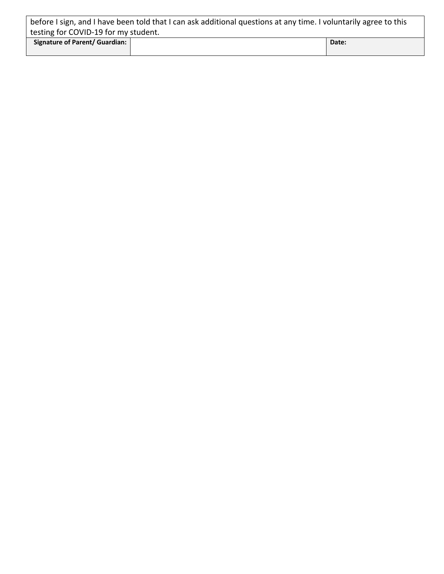| before I sign, and I have been told that I can ask additional questions at any time. I voluntarily agree to this |  |       |  |
|------------------------------------------------------------------------------------------------------------------|--|-------|--|
| testing for COVID-19 for my student.                                                                             |  |       |  |
| Signature of Parent/ Guardian:                                                                                   |  | Date: |  |